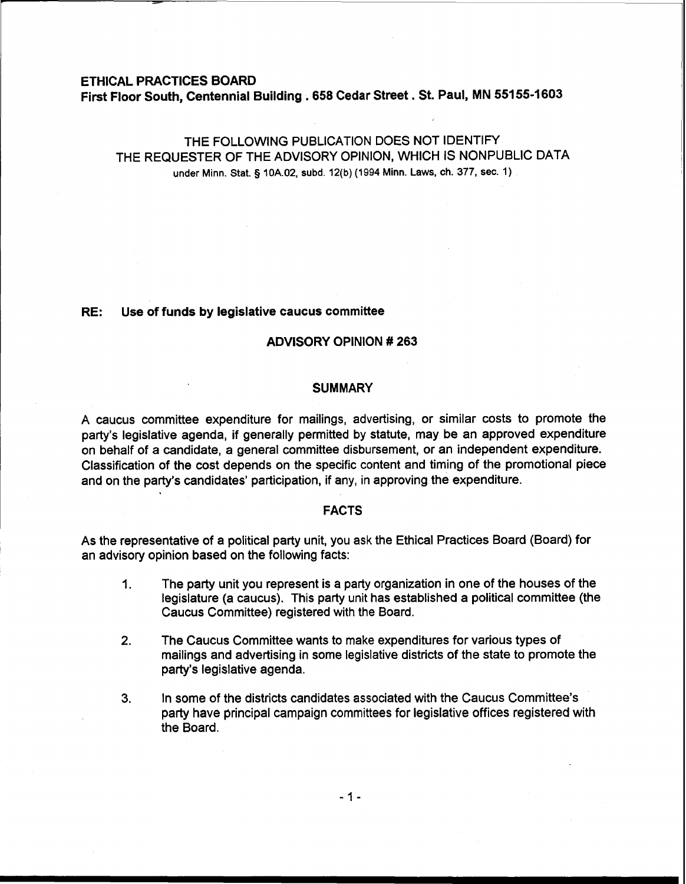#### ETHICAL PRACTICES BOARD

First Floor South, Centennial Building **.658** Cedar Street . St. Paul, MN **55155-1603** 

# THE FOLLOWING PUBLICATION DOES NOT IDENTIFY THE REQUESTER OF THE ADVISORY OPINION, WHICH IS NONPUBLIC DATA under Minn. Stat. **5** 10A.02, subd. 12(b) (1994 Minn. Laws, ch. 377, sec. 1)

# RE: Use of funds by legislative caucus committee

# ADVISORY OPINION # **263**

# **SUMMARY**

A caucus committee expenditure for mailings, advertising, or similar costs to promote the party's legislative agenda, if generally permitted by statute, may be an approved expenditure on behalf of a candidate, a general committee disbursement, or an independent expenditure. Classification of the cost depends on the specific content and timing of the promotional piece and on the party's candidates' participation, if any, in approving the expenditure.

# **FACTS**

As the representative of a political party unit, you ask the Ethical Practices Board (Board) for an advisory opinion based on the following facts:

- 1. The party unit you represent is a party organization in one of the houses of the legislature (a caucus). This party unit has established a political committee (the Caucus Committee) registered with the Board.
- **2.** The Caucus Committee wants to make expenditures for various types of mailings and advertising in some legislative districts of the state to promote the party's legislative agenda.
- **3.** In some of the districts candidates associated with the Caucus Committee's party have principal campaign committees for legislative offices registered with the Board.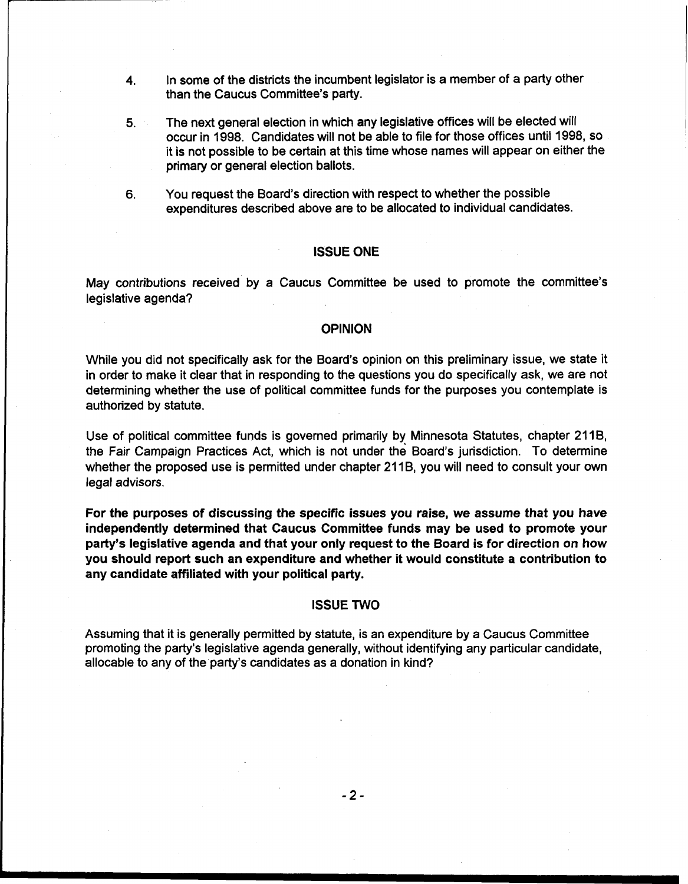- **4.** In some of the districts the incumbent legislator is a member of a party other than the Caucus Committee's party.
- **5.** The next general election in which any legislative offices will be elected will occur in 1998. Candidates will not be able to file for those offices until 1998, so it is not possible to be certain at this time whose names will appear on either the primary or general election ballots.
- **6.** You request the Board's direction with respect to whether the possible expenditures described above are to be allocated to individual candidates.

#### ISSUE ONE

May contributions received by a Caucus Committee be used to promote the committee's legislative agenda?

# **OPINION**

While you did not specifically ask for the Board's opinion on this preliminary issue, we state it in order to make it clear that in responding to the questions you do specifically ask, we are not determining whether the use of political committee funds for the purposes you contemplate is authorized by statute.

Use of political committee funds is governed primarily by Minnesota Statutes, chapter 2118, the Fair Campaign Practices Act, which is not under the Board's jurisdiction. To determine whether the proposed use is permitted under chapter 21 18, you will need to consult your own legal advisors.

For the purposes of discussing the specific issues you raise, we assume that you have independently determined that Caucus Committee funds may be used to promote your party's legislative agenda and that your only request to the Board is for direction on how you should report such an expenditure and whether it would constitute a contribution to any candidate affiliated with your political party.

### ISSUE TWO

Assuming that it is generally permitted by statute, is an expenditure by a Caucus Committee promoting the party's legislative agenda generally, without identifying any particular candidate, allocable to any of the party's candidates as a donation in kind?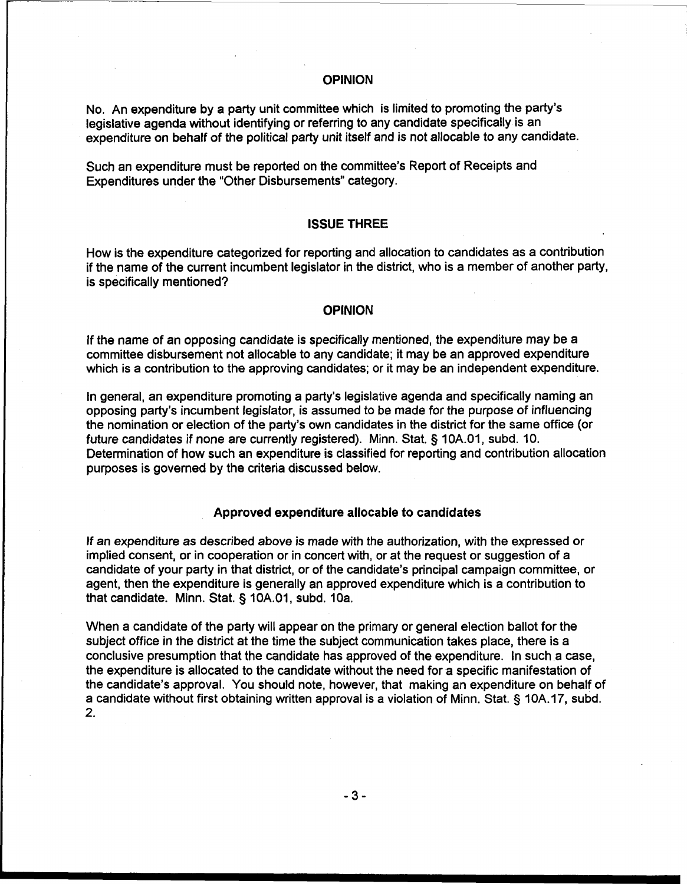# OPINION

No. An expenditure by a party unit committee which is limited to promoting the party's legislative agenda without identifying or referring to any candidate specifically is an expenditure on behalf of the political party unit itself and is not allocable to any candidate.

Such an expenditure must be reported on the committee's Report of Receipts and Expenditures under the "Other Disbursements" category.

#### ISSUE THREE

How is the expenditure categorized for reporting and allocation to candidates as a contribution if the name of the current incumbent legislator in the district, who is a member of another party, is specifically mentioned?

#### **OPINION**

If the name of an opposing candidate is specifically mentioned, the expenditure may be a committee disbursement not allocable to any candidate; it may be an approved expenditure which is a contribution to the approving candidates; or it may be an independent expenditure.

In general, an expenditure promoting a party's legislative agenda and specifically naming an opposing party's incumbent legislator, is assumed to be made for the purpose of influencing the nomination or election of the party's own candidates in the district for the same office (or future candidates if none are currently registered). Minn. Stat. **5** 10A.01, subd. 10. Determination of how such an expenditure is classified for reporting and contribution allocation purposes is governed by the criteria discussed below.

# Approved expenditure allocable to candidates

If an expenditure as described above is made with the authorization, with the expressed or implied consent, or in cooperation or in concert with, or at the request or suggestion of a candidate of your party in that district, or of the candidate's principal campaign committee, or agent, then the expenditure is generally an approved expenditure which is a contribution to that candidate. Minn. Stat. **3** 10A.01, subd. 10a.

When a candidate of the party will appear on the primary or general election ballot for the subject office in the district at the time the subject communication takes place, there is a conclusive presumption that the candidate has approved of the expenditure. In such a case, the expenditure is allocated to the candidate without the need for a specific manifestation of the candidate's approval. You should note, however, that making an expenditure on behalf of a candidate without first obtaining written approval is a violation of Minn. Stat. § 10A.17, subd. 2.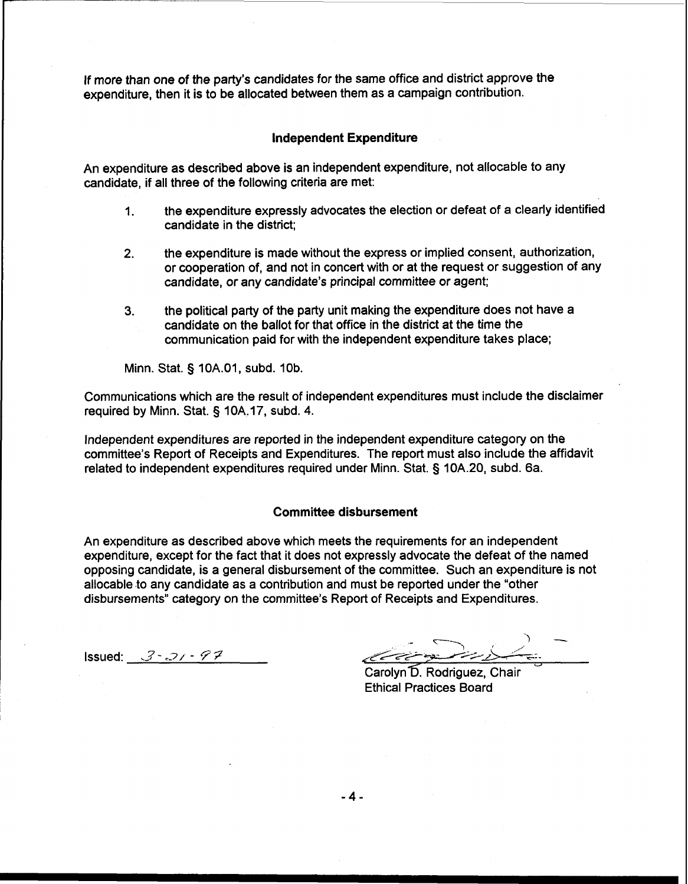If more than one of the party's candidates for the same office and district approve the expenditure, then it is to be allocated between them as a campaign contribution.

### **Independent Expenditure**

An expenditure as described above is an independent expenditure, not allocable to any candidate, if all three of the following criteria are met:

- 1. the expenditure expressly advocates the election or defeat of a clearly identified candidate in the district;
- **2.** the expenditure is made without the express or implied consent, authorization, or cooperation of, and not in concert with or at the request or suggestion of any candidate, or any candidate's principal committee or agent;
- **3.** the political party of the party unit making the expenditure does not have a candidate on the ballot for that office in the district at the time the communication paid for with the independent expenditure takes place;

Minn. Stat. § 10A.01, subd. 10b.

Communications which are the result of independent expenditures must include the disclaimer required by Minn. Stat. § 10A.17, subd. 4.

lndependent expenditures are reported in the independent expenditure category on the committee's Report of Receipts and Expenditures. The report must also include the affidavit related to independent expenditures required under Minn. Stat. § 10A.20, subd. 6a.

# **Committee disbursement**

An expenditure as described above which meets the requirements for an independent expenditure, except for the fact that it does not expressly advocate the defeat of the named opposing candidate, is a general disbursement of the committee. Such an expenditure is not allocable to any candidate as a contribution and must be reported under the "other disbursements" category on the committee's Report of Receipts and Expenditures.

 $Issued: 3 - 21 - 97$ 

Carolyn D. Rodriguez, Chair **Ethical Practices Board** 

 $-4-$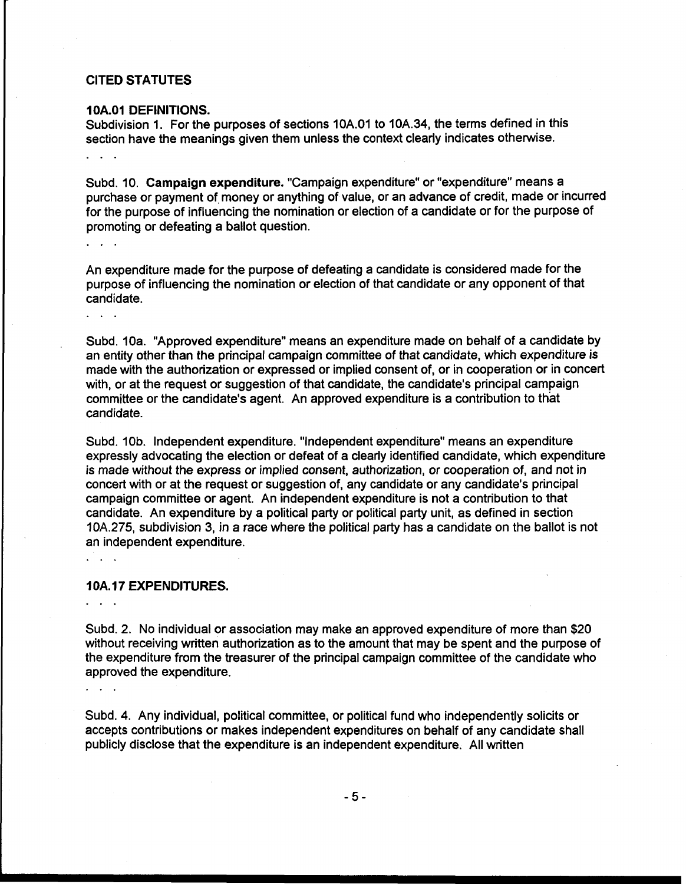# **CITED STATUTES**

 $\ddot{\phantom{a}}$ 

. . .

 $\mathbb{R}^n$  . The set

### **1 OA.O1 DEFINITIONS.**

Subdivision 1. For the purposes of sections 10A.O1 to 10A.34, the terms defined in this section have the meanings given them unless the context clearly indicates otherwise.

Subd. 10. Campaign expenditure. "Campaign expenditure" or "expenditure" means a purchase or payment of money or anything of value, or an advance of credit, made or incurred for the purpose of influencing the nomination or election of a candidate or for the purpose of promoting or defeating a ballot question.

An expenditure made for the purpose of defeating a candidate is considered made for the purpose of influencing the nomination or election of that candidate or any opponent of that candidate.

Subd. 10a. "Approved expenditure" means an expenditure made on behalf of a candidate by an entity other than the principal campaign committee of that candidate, which expenditure is made with the authorization or expressed or implied consent of, or in cooperation or in concert with, or at the request or suggestion of that candidate, the candidate's principal campaign committee or the candidate's agent. An approved expenditure is a contribution to that candidate.

Subd. 10b. Independent expenditure. "Independent expenditure" means an expenditure expressly advocating the election or defeat of a clearly identified candidate, which expenditure is made without the express or implied consent, authorization, or cooperation of, and not in concert with or at the request or suggestion of, any candidate or any candidate's principal campaign committee or agent. An independent expenditure is not a contribution to that candidate. An expenditure by a political party or political party unit, as defined in section 10A.275, subdivision 3, in a race where the political party has a candidate on the ballot is not an independent expenditure.

# **10A. 17 EXPENDITURES.**

Subd. 2. No individual or association may make an approved expenditure of more than \$20 without receiving written authorization as to the amount that may be spent and the purpose of the expenditure from the treasurer of the principal campaign committee of the candidate who approved the expenditure.

Subd. 4. Any individual, political committee, or political fund who independently solicits or accepts contributions or makes independent expenditures on behalf of any candidate shall publicly disclose that the expenditure is an independent expenditure. All written